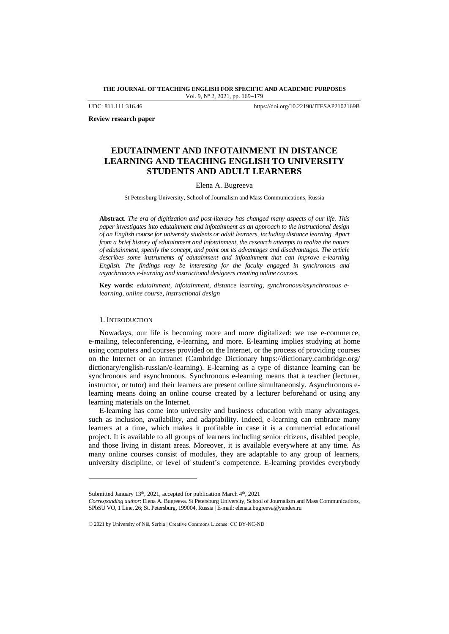**THE JOURNAL OF TEACHING ENGLISH FOR SPECIFIC AND ACADEMIC PURPOSES** Vol. 9, Nº 2, 2021, pp. 169-179

UDC: 811.111:316.46 https://doi.org/10.22190/JTESAP2102169B

**Review research paper**

# **EDUTAINMENT AND INFOTAINMENT IN DISTANCE LEARNING AND TEACHING ENGLISH TO UNIVERSITY STUDENTS AND ADULT LEARNERS**

# Elena A. Bugreeva

St Petersburg University, School of Journalism and Mass Communications, Russia

**Abstract**. *The era of digitization and post-literacy has changed many aspects of our life. This paper investigates into edutainment and infotainment as an approach to the instructional design of an English course for university students or adult learners, including distance learning. Apart from a brief history of edutainment and infotainment, the research attempts to realize the nature of edutainment, specify the concept, and point out its advantages and disadvantages. The article describes some instruments of edutainment and infotainment that can improve e-learning English. The findings may be interesting for the faculty engaged in synchronous and asynchronous e-learning and instructional designers creating online courses.*

**Key words**: *edutainment, infotainment, distance learning, synchronous/asynchronous elearning, online course, instructional design*

# 1. INTRODUCTION

Nowadays, our life is becoming more and more digitalized: we use e-commerce, e-mailing, teleconferencing, e-learning, and more. E-learning implies studying at home using computers and courses provided on the Internet, or the process of providing courses on the Internet or an intranet (Cambridge Dictionary [https://dictionary.cambridge.org/](https://dictionary.cambridge.org/dictionary/english-russian/e-learning) [dictionary/english-russian/e-learning\)](https://dictionary.cambridge.org/dictionary/english-russian/e-learning). E-learning as a type of distance learning can be synchronous and asynchronous. Synchronous e-learning means that a teacher (lecturer, instructor, or tutor) and their learners are present online simultaneously. Asynchronous elearning means doing an online course created by a lecturer beforehand or using any learning materials on the Internet.

E-learning has come into university and business education with many advantages, such as inclusion, availability, and adaptability. Indeed, e-learning can embrace many learners at a time, which makes it profitable in case it is a commercial educational project. It is available to all groups of learners including senior citizens, disabled people, and those living in distant areas. Moreover, it is available everywhere at any time. As many online courses consist of modules, they are adaptable to any group of learners, university discipline, or level of student's competence. E-learning provides everybody

Submitted January 13<sup>th</sup>, 2021, accepted for publication March 4<sup>th</sup>, 2021

*Corresponding author*: Elena A. Bugreeva. St Petersburg University, School of Journalism and Mass Communications, SPbSU VO, 1 Line, 26; St. Petersburg, 199004, Russia | E-mail: elena.a.bugreeva@yandex.ru

<sup>© 2021</sup> by University of Niš, Serbia | Creative Commons License: CC BY-NC-ND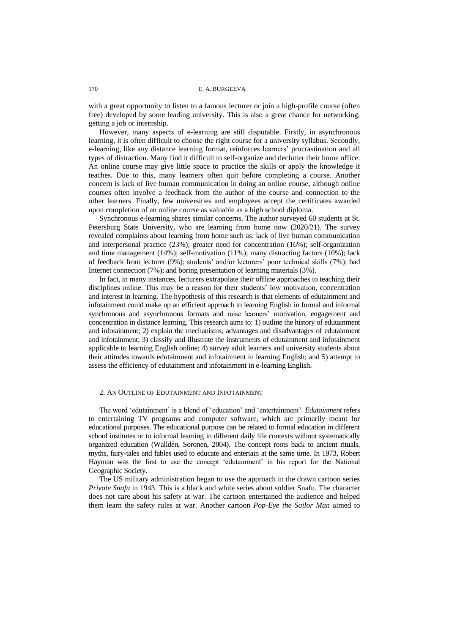with a great opportunity to listen to a famous lecturer or join a high-profile course (often free) developed by some leading university. This is also a great chance for networking, getting a job or internship.

However, many aspects of e-learning are still disputable. Firstly, in asynchronous learning, it is often difficult to choose the right course for a university syllabus. Secondly, e-learning, like any distance learning format, reinforces learners' procrastination and all types of distraction. Many find it difficult to self-organize and declutter their home office. An online course may give little space to practice the skills or apply the knowledge it teaches. Due to this, many learners often quit before completing a course. Another concern is lack of live human communication in doing an online course, although online courses often involve a feedback from the author of the course and connection to the other learners. Finally, few universities and employees accept the certificates awarded upon completion of an online course as valuable as a high school diploma.

Synchronous e-learning shares similar concerns. The author surveyed 60 students at St. Petersburg State University, who are learning from home now (2020/21). The survey revealed complaints about learning from home such as: lack of live human communication and interpersonal practice (23%); greater need for concentration (16%); self-organization and time management (14%); self-motivation (11%); many distracting factors (10%); lack of feedback from lecturer (9%); students' and/or lecturers' poor technical skills (7%); bad Internet connection (7%); and boring presentation of learning materials (3%).

In fact, in many instances, lecturers extrapolate their offline approaches to teaching their disciplines online. This may be a reason for their students' low motivation, concentration and interest in learning. The hypothesis of this research is that elements of edutainment and infotainment could make up an efficient approach to learning English in formal and informal synchronous and asynchronous formats and raise learners' motivation, engagement and concentration in distance learning. This research aims to: 1) outline the history of edutainment and infotainment; 2) explain the mechanisms, advantages and disadvantages of edutainment and infotainment; 3) classify and illustrate the instruments of edutainment and infotainment applicable to learning English online; 4) survey adult learners and university students about their attitudes towards edutainment and infotainment in learning English; and 5) attempt to assess the efficiency of edutainment and infotainment in e-learning English.

### 2. AN OUTLINE OF EDUTAINMENT AND INFOTAINMENT

The word 'edutainment' is a blend of 'education' and 'entertainment'. *Edutainment* refers to entertaining TV programs and computer software, which are primarily meant for educational purposes. The educational purpose can be related to formal education in different school institutes or to informal learning in different daily life contexts without systematically organized education (Walldén, Soronen, 2004). The concept roots back to ancient rituals, myths, fairy-tales and fables used to educate and entertain at the same time. In 1973, Robert Hayman was the first to use the concept 'edutainment' in his report for the National Geographic Society.

The US military administration began to use the approach in the drawn cartoon series *Private Snafu* in 1943. This is a black and white series about soldier Snafu. The character does not care about his safety at war. The cartoon entertained the audience and helped them learn the safety rules at war. Another cartoon *Pop-Eye the Sailor Man* aimed to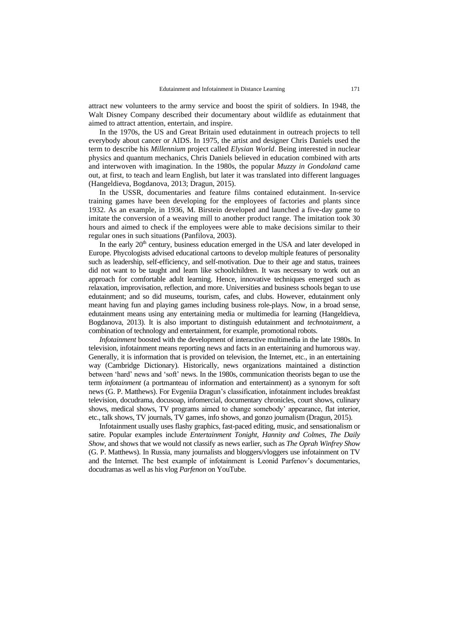attract new volunteers to the army service and boost the spirit of soldiers. In 1948, the Walt Disney Company described their documentary about wildlife as edutainment that aimed to attract attention, entertain, and inspire.

In the 1970s, the US and Great Britain used edutainment in outreach projects to tell everybody about cancer or AIDS. In 1975, the artist and designer Chris Daniels used the term to describe his *Millennium* project called *Elysian World*. Being interested in nuclear physics and quantum mechanics, Chris Daniels believed in education combined with arts and interwoven with imagination. In the 1980s, the popular *Muzzy in Gondoland* came out, at first, to teach and learn English, but later it was translated into different languages (Hangeldieva, Bogdanova, 2013; Dragun, 2015).

In the USSR, documentaries and feature films contained edutainment. In-service training games have been developing for the employees of factories and plants since 1932. As an example, in 1936, M. Birstein developed and launched a five-day game to imitate the conversion of a weaving mill to another product range. The imitation took 30 hours and aimed to check if the employees were able to make decisions similar to their regular ones in such situations (Panfilova, 2003).

In the early  $20<sup>th</sup>$  century, business education emerged in the USA and later developed in Europe. Phycologists advised educational cartoons to develop multiple features of personality such as leadership, self-efficiency, and self-motivation. Due to their age and status, trainees did not want to be taught and learn like schoolchildren. It was necessary to work out an approach for comfortable adult learning. Hence, innovative techniques emerged such as relaxation, improvisation, reflection, and more. Universities and business schools began to use edutainment; and so did museums, tourism, cafes, and clubs. However, edutainment only meant having fun and playing games including business role-plays. Now, in a broad sense, edutainment means using any entertaining media or multimedia for learning (Hangeldieva, Bogdanova, 2013). It is also important to distinguish edutainment and *technotainment*, a combination of technology and entertainment, for example, promotional robots.

*Infotainment* boosted with the development of interactive multimedia in the late 1980s. In television*,* infotainment means reporting news and facts in an entertaining and humorous way. Generally, it is information that is provided on television, the Internet, etc., in an entertaining way (Cambridge Dictionary). Historically, news organizations maintained a distinction between 'hard' news and 'soft' news. In the 1980s, communication theorists began to use the term *infotainment* (a portmanteau of information and entertainment) as a synonym for soft news (G. P. Matthews). For Evgeniia Dragun's classification, infotainment includes breakfast television, docudrama, docusoap, infomercial, documentary chronicles, court shows, culinary shows, medical shows, TV programs aimed to change somebody' appearance, flat interior, etc., talk shows, TV journals, TV games, info shows, and gonzo journalism (Dragun, 2015).

Infotainment usually uses flashy graphics, fast-paced editing, music, and sensationalism or satire. Popular examples include *Entertainment Tonight*, *Hannity and Colmes*, *The Daily Show*, and shows that we would not classify as news earlier, such as *The Oprah Winfrey Show* (G. P. Matthews). In Russia, many journalists and bloggers/vloggers use infotainment on TV and the Internet. The best example of infotainment is Leonid Parfenov's documentaries, docudramas as well as his vlog *Parfenon* on YouTube.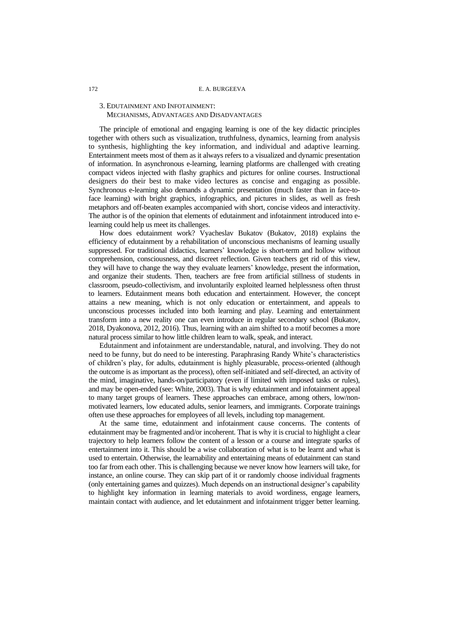### 172 E. A. BURGEEVA

# 3. EDUTAINMENT AND INFOTAINMENT: MECHANISMS, ADVANTAGES AND DISADVANTAGES

The principle of emotional and engaging learning is one of the key didactic principles together with others such as visualization, truthfulness, dynamics, learning from analysis to synthesis, highlighting the key information, and individual and adaptive learning. Entertainment meets most of them as it always refers to a visualized and dynamic presentation of information. In asynchronous e-learning, learning platforms are challenged with creating compact videos injected with flashy graphics and pictures for online courses. Instructional designers do their best to make video lectures as concise and engaging as possible. Synchronous e-learning also demands a dynamic presentation (much faster than in face-toface learning) with bright graphics, infographics, and pictures in slides, as well as fresh metaphors and off-beaten examples accompanied with short, concise videos and interactivity. The author is of the opinion that elements of edutainment and infotainment introduced into elearning could help us meet its challenges.

How does edutainment work? Vyacheslav Bukatov (Bukatov, 2018) explains the efficiency of edutainment by a rehabilitation of unconscious mechanisms of learning usually suppressed. For traditional didactics, learners' knowledge is short-term and hollow without comprehension, consciousness, and discreet reflection. Given teachers get rid of this view, they will have to change the way they evaluate learners' knowledge, present the information, and organize their students. Then, teachers are free from artificial stillness of students in classroom, pseudo-collectivism, and involuntarily exploited learned helplessness often thrust to learners. Edutainment means both education and entertainment. However, the concept attains a new meaning, which is not only education or entertainment, and appeals to unconscious processes included into both learning and play. Learning and entertainment transform into a new reality one can even introduce in regular secondary school (Bukatov, 2018, Dyakonova, 2012, 2016). Thus, learning with an aim shifted to a motif becomes a more natural process similar to how little children learn to walk, speak, and interact.

Edutainment and infotainment are understandable, natural, and involving. They do not need to be funny, but do need to be interesting. Paraphrasing Randy White's characteristics of children's play, for adults, edutainment is highly pleasurable, process-oriented (although the outcome is as important as the process), often self-initiated and self-directed, an activity of the mind, imaginative, hands-on/participatory (even if limited with imposed tasks or rules), and may be open-ended (see: White, 2003). That is why edutainment and infotainment appeal to many target groups of learners. These approaches can embrace, among others, low/nonmotivated learners, low educated adults, senior learners, and immigrants. Corporate trainings often use these approaches for employees of all levels, including top management.

At the same time, edutainment and infotainment cause concerns. The contents of edutainment may be fragmented and/or incoherent. That is why it is crucial to highlight a clear trajectory to help learners follow the content of a lesson or a course and integrate sparks of entertainment into it. This should be a wise collaboration of what is to be learnt and what is used to entertain. Otherwise, the learnability and entertaining means of edutainment can stand too far from each other. This is challenging because we never know how learners will take, for instance, an online course. They can skip part of it or randomly choose individual fragments (only entertaining games and quizzes). Much depends on an instructional designer's capability to highlight key information in learning materials to avoid wordiness, engage learners, maintain contact with audience, and let edutainment and infotainment trigger better learning.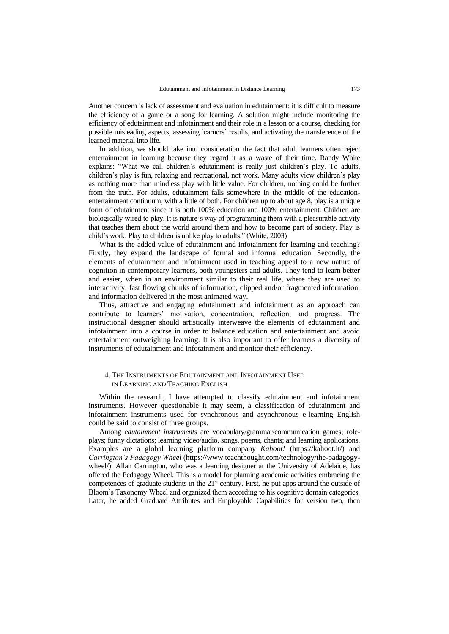Another concern is lack of assessment and evaluation in edutainment: it is difficult to measure the efficiency of a game or a song for learning. A solution might include monitoring the efficiency of edutainment and infotainment and their role in a lesson or a course, checking for possible misleading aspects, assessing learners' results, and activating the transference of the learned material into life.

In addition, we should take into consideration the fact that adult learners often reject entertainment in learning because they regard it as a waste of their time. Randy White explains: "What we call children's edutainment is really just children's play. To adults, children's play is fun, relaxing and recreational, not work. Many adults view children's play as nothing more than mindless play with little value. For children, nothing could be further from the truth. For adults, edutainment falls somewhere in the middle of the educationentertainment continuum, with a little of both. For children up to about age 8, play is a unique form of edutainment since it is both 100% education and 100% entertainment. Children are biologically wired to play. It is nature's way of programming them with a pleasurable activity that teaches them about the world around them and how to become part of society. Play is child's work. Play to children is unlike play to adults." (White, 2003)

What is the added value of edutainment and infotainment for learning and teaching? Firstly, they expand the landscape of formal and informal education. Secondly, the elements of edutainment and infotainment used in teaching appeal to a new nature of cognition in contemporary learners, both youngsters and adults. They tend to learn better and easier, when in an environment similar to their real life, where they are used to interactivity, fast flowing chunks of information, clipped and/or fragmented information, and information delivered in the most animated way.

Thus, attractive and engaging edutainment and infotainment as an approach can contribute to learners' motivation, concentration, reflection, and progress. The instructional designer should artistically interweave the elements of edutainment and infotainment into a course in order to balance education and entertainment and avoid entertainment outweighing learning. It is also important to offer learners a diversity of instruments of edutainment and infotainment and monitor their efficiency.

# 4. THE INSTRUMENTS OF EDUTAINMENT AND INFOTAINMENT USED IN LEARNING AND TEACHING ENGLISH

Within the research, I have attempted to classify edutainment and infotainment instruments. However questionable it may seem, a classification of edutainment and infotainment instruments used for synchronous and asynchronous e-learning English could be said to consist of three groups.

Among *edutainment instruments* are vocabulary/grammar/communication games; roleplays; funny dictations; learning video/audio, songs, poems, chants; and learning applications. Examples are a global learning platform company *Kahoot!* [\(https://kahoot.it/\)](https://kahoot.it/) and *Carrington's Padagogy Wheel* [\(https://www.teachthought.com/technology/the-padagogy](https://www.teachthought.com/technology/the-padagogy-wheel/)[wheel/\)](https://www.teachthought.com/technology/the-padagogy-wheel/). Allan Carrington, who was a learning designer at the University of Adelaide, has offered the Pedagogy Wheel. This is a model for planning academic activities embracing the competences of graduate students in the  $21<sup>st</sup>$  century. First, he put apps around the outside of Bloom's Taxonomy Wheel and organized them according to his cognitive domain categories. Later, he added Graduate Attributes and Employable Capabilities for version two, then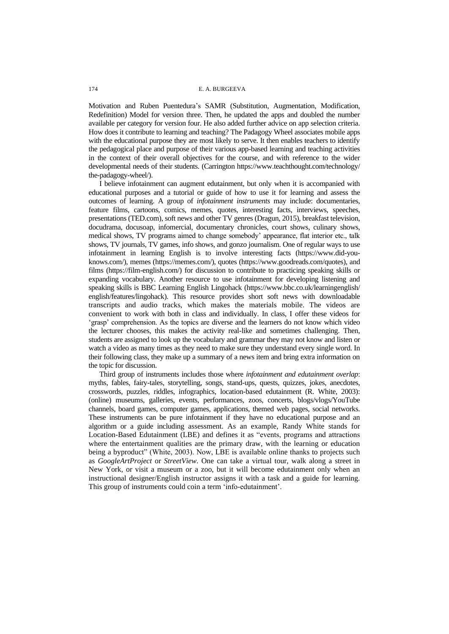Motivation and Ruben Puentedura's SAMR (Substitution, Augmentation, Modification, Redefinition) Model for version three. Then, he updated the apps and doubled the number available per category for version four. He also added further advice on app selection criteria. How does it contribute to learning and teaching? The Padagogy Wheel associates mobile apps with the educational purpose they are most likely to serve. It then enables teachers to identify the pedagogical place and purpose of their various app-based learning and teaching activities in the context of their overall objectives for the course, and with reference to the wider developmental needs of their students. (Carrington [https://www.teachthought.com/technology/](https://www.teachthought.com/technology/the-padagogy-wheel/) [the-padagogy-wheel/\)](https://www.teachthought.com/technology/the-padagogy-wheel/).

I believe infotainment can augment edutainment, but only when it is accompanied with educational purposes and a tutorial or guide of how to use it for learning and assess the outcomes of learning. A group of *infotainment instruments* may include: documentaries, feature films, cartoons, comics, memes, quotes, interesting facts, interviews, speeches, presentations (TED.com), soft news and other TV genres (Dragun, 2015), breakfast television, docudrama, docusoap, infomercial, documentary chronicles, court shows, culinary shows, medical shows, TV programs aimed to change somebody' appearance, flat interior etc., talk shows, TV journals, TV games, info shows, and gonzo journalism. One of regular ways to use infotainment in learning English is to involve interesting facts [\(https://www.did-you](https://www.did-you-knows.com/)[knows.com/\)](https://www.did-you-knows.com/), memes [\(https://memes.com/\)](https://memes.com/), quotes [\(https://www.goodreads.com/quotes\)](https://www.goodreads.com/quotes), and films [\(https://film-english.com/\)](https://film-english.com/) for discussion to contribute to practicing speaking skills or expanding vocabulary. Another resource to use infotainment for developing listening and speaking skills is BBC Learning English Lingohack [\(https://www.bbc.co.uk/learningenglish/](https://www.bbc.co.uk/learningenglish/english/features/lingohack) [english/features/lingohack\)](https://www.bbc.co.uk/learningenglish/english/features/lingohack). This resource provides short soft news with downloadable transcripts and audio tracks, which makes the materials mobile. The videos are convenient to work with both in class and individually. In class, I offer these videos for 'grasp' comprehension. As the topics are diverse and the learners do not know which video the lecturer chooses, this makes the activity real-like and sometimes challenging. Then, students are assigned to look up the vocabulary and grammar they may not know and listen or watch a video as many times as they need to make sure they understand every single word. In their following class, they make up a summary of a news item and bring extra information on the topic for discussion.

Third group of instruments includes those where *infotainment and edutainment overlap*: myths, fables, fairy-tales, storytelling, songs, stand-ups, quests, quizzes, jokes, anecdotes, crosswords, puzzles, riddles, infographics, location-based edutainment (R. White, 2003): (online) museums, galleries, events, performances, zoos, concerts, blogs/vlogs/YouTube channels, board games, computer games, applications, themed web pages, social networks. These instruments can be pure infotainment if they have no educational purpose and an algorithm or a guide including assessment. As an example, Randy White stands for Location-Based Edutainment (LBE) and defines it as "events, programs and attractions where the entertainment qualities are the primary draw, with the learning or education being a byproduct" (White, 2003). Now, LBE is available online thanks to projects such as *GoogleArtProject* or *StreetView*. One can take a virtual tour, walk along a street in New York, or visit a museum or a zoo, but it will become edutainment only when an instructional designer/English instructor assigns it with a task and a guide for learning. This group of instruments could coin a term 'info-edutainment'.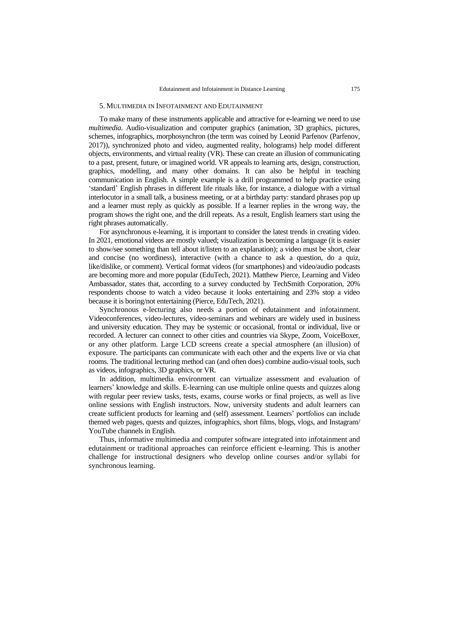#### 5. MULTIMEDIA IN INFOTAINMENT AND EDUTAINMENT

To make many of these instruments applicable and attractive for e-learning we need to use *multimedia*. Audio-visualization and computer graphics (animation, 3D graphics, pictures, schemes, infographics, morphosynchron (the term was coined by Leonid Parfenov (Parfenov, 2017)), synchronized photo and video, augmented reality, holograms) help model different objects, environments, and virtual reality (VR). These can create an illusion of communicating to a past, present, future, or imagined world. VR appeals to learning arts, design, construction, graphics, modelling, and many other domains. It can also be helpful in teaching communication in English. A simple example is a drill programmed to help practice using 'standard' English phrases in different life rituals like, for instance, a dialogue with a virtual interlocutor in a small talk, a business meeting, or at a birthday party: standard phrases pop up and a learner must reply as quickly as possible. If a learner replies in the wrong way, the program shows the right one, and the drill repeats. As a result, English learners start using the right phrases automatically.

For asynchronous e-learning, it is important to consider the latest trends in creating video. In 2021, emotional videos are mostly valued; visualization is becoming a language (it is easier to show/see something than tell about it/listen to an explanation); a video must be short, clear and concise (no wordiness), interactive (with a chance to ask a question, do a quiz, like/dislike, or comment). Vertical format videos (for smartphones) and video/audio podcasts are becoming more and more popular (EduTech, 2021). Matthew Pierce, Learning and Video Ambassador, states that, according to a survey conducted by TechSmith Corporation, 20% respondents choose to watch a video because it looks entertaining and 23% stop a video because it is boring/not entertaining (Pierce, EduTech, 2021).

Synchronous e-lecturing also needs a portion of edutainment and infotainment. Videoconferences, video-lectures, video-seminars and webinars are widely used in business and university education. They may be systemic or occasional, frontal or individual, live or recorded. A lecturer can connect to other cities and countries via Skype, Zoom, VoiceBoxer, or any other platform. Large LCD screens create a special atmosphere (an illusion) of exposure. The participants can communicate with each other and the experts live or via chat rooms. The traditional lecturing method can (and often does) combine audio-visual tools, such as videos, infographics, 3D graphics, or VR.

In addition, multimedia environment can virtualize assessment and evaluation of learners' knowledge and skills. E-learning can use multiple online quests and quizzes along with regular peer review tasks, tests, exams, course works or final projects, as well as live online sessions with English instructors. Now, university students and adult learners can create sufficient products for learning and (self) assessment. Learners' portfolios can include themed web pages, quests and quizzes, infographics, short films, blogs, vlogs, and Instagram/ YouTube channels in English.

Thus, informative multimedia and computer software integrated into infotainment and edutainment or traditional approaches can reinforce efficient e-learning. This is another challenge for instructional designers who develop online courses and/or syllabi for synchronous learning.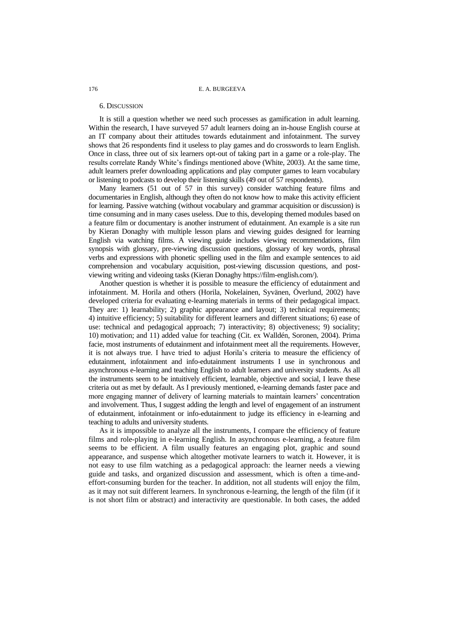# 176 E. A. BURGEEVA

#### 6. DISCUSSION

It is still a question whether we need such processes as gamification in adult learning. Within the research, I have surveyed 57 adult learners doing an in-house English course at an IT company about their attitudes towards edutainment and infotainment. The survey shows that 26 respondents find it useless to play games and do crosswords to learn English. Once in class, three out of six learners opt-out of taking part in a game or a role-play. The results correlate Randy White's findings mentioned above (White, 2003). At the same time, adult learners prefer downloading applications and play computer games to learn vocabulary or listening to podcasts to develop their listening skills (49 out of 57 respondents).

Many learners (51 out of 57 in this survey) consider watching feature films and documentaries in English, although they often do not know how to make this activity efficient for learning. Passive watching (without vocabulary and grammar acquisition or discussion) is time consuming and in many cases useless. Due to this, developing themed modules based on a feature film or documentary is another instrument of edutainment. An example is a site run by Kieran Donaghy with multiple lesson plans and viewing guides designed for learning English via watching films. A viewing guide includes viewing recommendations, film synopsis with glossary, pre-viewing discussion questions, glossary of key words, phrasal verbs and expressions with phonetic spelling used in the film and example sentences to aid comprehension and vocabulary acquisition, post-viewing discussion questions, and postviewing writing and videoing tasks (Kieran Donaghy https://film-english.com/).

Another question is whether it is possible to measure the efficiency of edutainment and infotainment. M. Horila and others (Horila, Nokelainen, Syvänen, Överlund, 2002) have developed criteria for evaluating e-learning materials in terms of their pedagogical impact. They are: 1) learnability; 2) graphic appearance and layout; 3) technical requirements; 4) intuitive efficiency; 5) suitability for different learners and different situations; 6) ease of use: technical and pedagogical approach; 7) interactivity; 8) objectiveness; 9) sociality; 10) motivation; and 11) added value for teaching (Cit. ex Walldén, Soronen, 2004). Prima facie, most instruments of edutainment and infotainment meet all the requirements. However, it is not always true. I have tried to adjust Horila's criteria to measure the efficiency of edutainment, infotainment and info-edutainment instruments I use in synchronous and asynchronous e-learning and teaching English to adult learners and university students. As all the instruments seem to be intuitively efficient, learnable, objective and social, I leave these criteria out as met by default. As I previously mentioned, e-learning demands faster pace and more engaging manner of delivery of learning materials to maintain learners' concentration and involvement. Thus, I suggest adding the length and level of engagement of an instrument of edutainment, infotainment or info-edutainment to judge its efficiency in e-learning and teaching to adults and university students.

As it is impossible to analyze all the instruments, I compare the efficiency of feature films and role-playing in e-learning English. In asynchronous e-learning, a feature film seems to be efficient. A film usually features an engaging plot, graphic and sound appearance, and suspense which altogether motivate learners to watch it. However, it is not easy to use film watching as a pedagogical approach: the learner needs a viewing guide and tasks, and organized discussion and assessment, which is often a time-andeffort-consuming burden for the teacher. In addition, not all students will enjoy the film, as it may not suit different learners. In synchronous e-learning, the length of the film (if it is not short film or abstract) and interactivity are questionable. In both cases, the added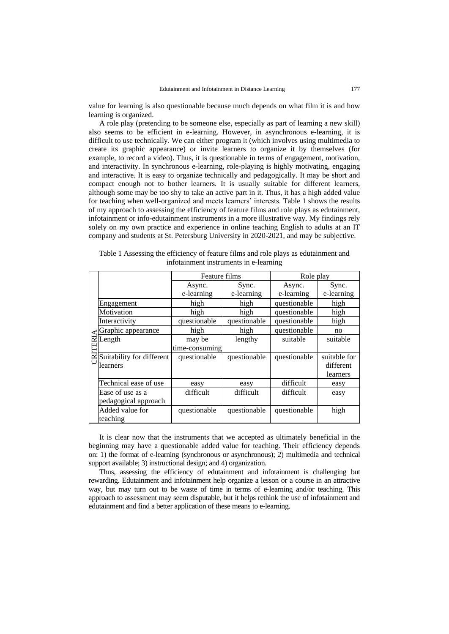value for learning is also questionable because much depends on what film it is and how learning is organized.

A role play (pretending to be someone else, especially as part of learning a new skill) also seems to be efficient in e-learning. However, in asynchronous e-learning, it is difficult to use technically. We can either program it (which involves using multimedia to create its graphic appearance) or invite learners to organize it by themselves (for example, to record a video). Thus, it is questionable in terms of engagement, motivation, and interactivity. In synchronous e-learning, role-playing is highly motivating, engaging and interactive. It is easy to organize technically and pedagogically. It may be short and compact enough not to bother learners. It is usually suitable for different learners, although some may be too shy to take an active part in it. Thus, it has a high added value for teaching when well-organized and meets learners' interests. Table 1 shows the results of my approach to assessing the efficiency of feature films and role plays as edutainment, infotainment or info-edutainment instruments in a more illustrative way. My findings rely solely on my own practice and experience in online teaching English to adults at an IT company and students at St. Petersburg University in 2020-2021, and may be subjective.

|  | Table 1 Assessing the efficiency of feature films and role plays as edutainment and |  |  |  |
|--|-------------------------------------------------------------------------------------|--|--|--|
|  | infotainment instruments in e-learning                                              |  |  |  |

|     |                           | Feature films  |              | Role play    |              |  |
|-----|---------------------------|----------------|--------------|--------------|--------------|--|
|     |                           | Async.         | Sync.        | Async.       | Sync.        |  |
|     |                           | e-learning     | e-learning   | e-learning   | e-learning   |  |
|     | Engagement                | high           | high         | questionable | high         |  |
|     | Motivation                | high<br>high   |              | questionable | high         |  |
|     | Interactivity             | questionable   | questionable | questionable | high         |  |
|     | Graphic appearance        | high<br>high   |              | questionable | no           |  |
| ERI | Length                    | may be         | lengthy      | suitable     | suitable     |  |
|     |                           | time-consuming |              |              |              |  |
|     | Suitability for different | questionable   | questionable | questionable | suitable for |  |
|     | learners                  |                |              |              | different    |  |
|     |                           |                |              |              | learners     |  |
|     | Technical ease of use     | easy           | easy         | difficult    | easy         |  |
|     | Ease of use as a          | difficult      | difficult    | difficult    | easy         |  |
|     | pedagogical approach      |                |              |              |              |  |
|     | Added value for           | questionable   | questionable | questionable | high         |  |
|     | teaching                  |                |              |              |              |  |

It is clear now that the instruments that we accepted as ultimately beneficial in the beginning may have a questionable added value for teaching. Their efficiency depends on: 1) the format of e-learning (synchronous or asynchronous); 2) multimedia and technical support available; 3) instructional design; and 4) organization.

Thus, assessing the efficiency of edutainment and infotainment is challenging but rewarding. Edutainment and infotainment help organize a lesson or a course in an attractive way, but may turn out to be waste of time in terms of e-learning and/or teaching. This approach to assessment may seem disputable, but it helps rethink the use of infotainment and edutainment and find a better application of these means to e-learning.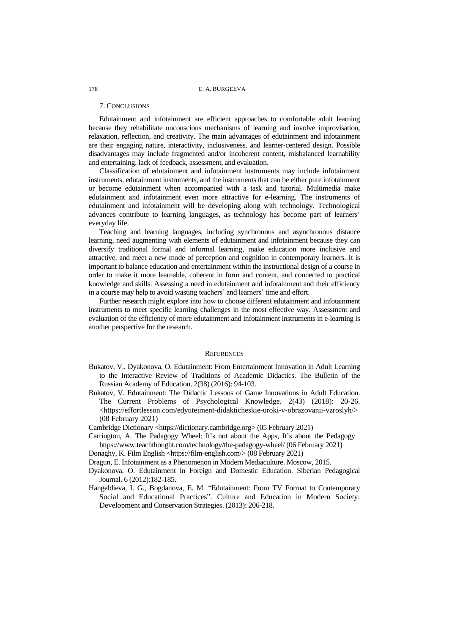# 178 E. A. BURGEEVA

#### 7. CONCLUSIONS

Edutainment and infotainment are efficient approaches to comfortable adult learning because they rehabilitate unconscious mechanisms of learning and involve improvisation, relaxation, reflection, and creativity. The main advantages of edutainment and infotainment are their engaging nature, interactivity, inclusiveness, and learner-centered design. Possible disadvantages may include fragmented and/or incoherent content, misbalanced learnability and entertaining, lack of feedback, assessment, and evaluation.

Classification of edutainment and infotainment instruments may include infotainment instruments, edutainment instruments, and the instruments that can be either pure infotainment or become edutainment when accompanied with a task and tutorial. Multimedia make edutainment and infotainment even more attractive for e-learning. The instruments of edutainment and infotainment will be developing along with technology. Technological advances contribute to learning languages, as technology has become part of learners' everyday life.

Teaching and learning languages, including synchronous and asynchronous distance learning, need augmenting with elements of edutainment and infotainment because they can diversify traditional formal and informal learning, make education more inclusive and attractive, and meet a new mode of perception and cognition in contemporary learners. It is important to balance education and entertainment within the instructional design of a course in order to make it more learnable, coherent in form and content, and connected to practical knowledge and skills. Assessing a need in edutainment and infotainment and their efficiency in a course may help to avoid wasting teachers' and learners' time and effort.

Further research might explore into how to choose different edutainment and infotainment instruments to meet specific learning challenges in the most effective way. Assessment and evaluation of the efficiency of more edutainment and infotainment instruments in e-learning is another perspective for the research.

#### **REFERENCES**

- Bukatov, V., Dyakonova, O. Edutainment: From Entertainment Innovation in Adult Learning to the Interactive Review of Traditions of Academic Didactics. The Bulletin of the Russian Academy of Education. 2(38) (2016): 94-103.
- Bukatov, V. Edutainment: The Didactic Lessons of Game Innovations in Adult Education. The Current Problems of Psychological Knowledge. 2(43) (2018): 20-26. [<https://effortlesson.com/edyutejment-didakticheskie-uroki-v-obrazovanii-vzroslyh/>](https://effortlesson.com/edyutejment-didakticheskie-uroki-v-obrazovanii-vzroslyh/) (08 February 2021)

Cambridge Dictionary [<https://dictionary.cambridge.org>](https://dictionary.cambridge.org/) (05 February 2021)

- Carrington, A. The Padagogy Wheel: It's not about the Apps, It's about the Pedagogy <https://www.teachthought.com/technology/the-padagogy-wheel/> (06 February 2021)
- Donaghy, K. Film English [<https://film-english.com/>](https://film-english.com/) (08 February 2021)
- Dragun, E. Infotainment as a Phenomenon in Modern Mediaculture. Moscow, 2015.
- Dyakonova, O. Edutainment in Foreign and Domestic Education. Siberian Pedagogical Journal. 6 (2012):182-185.
- Hangeldieva, I. G., Bogdanova, E. M. "Edutainment: From TV Format to Contemporary Social and Educational Practices". Culture and Education in Modern Society: Development and Conservation Strategies. (2013): 206-218.